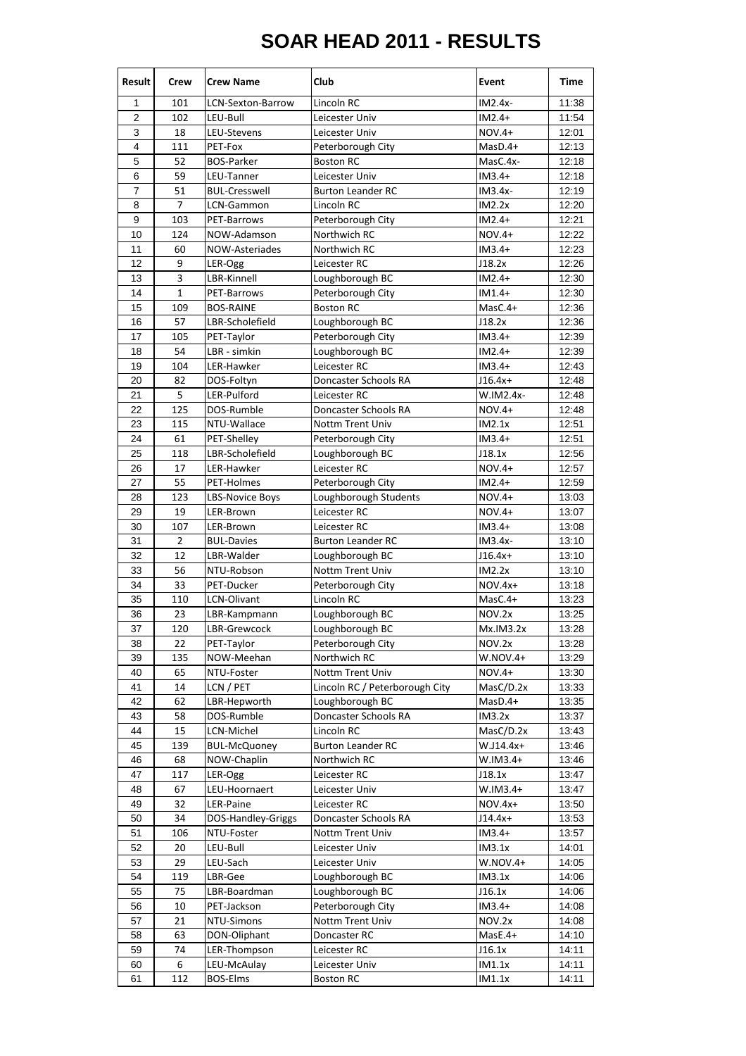## **SOAR HEAD 2011 - RESULTS**

| Result         | <b>Crew</b>    | <b>Crew Name</b>       | Club                           | Event         | Time  |
|----------------|----------------|------------------------|--------------------------------|---------------|-------|
| 1              | 101            | LCN-Sexton-Barrow      | Lincoln RC                     | $IM2.4x-$     | 11:38 |
| $\overline{2}$ | 102            | LEU-Bull               | Leicester Univ                 | $IM2.4+$      | 11:54 |
| 3              | 18             | LEU-Stevens            | Leicester Univ                 | <b>NOV.4+</b> | 12:01 |
| 4              | 111            | PET-Fox                | Peterborough City              | $MasD.4+$     | 12:13 |
| 5              | 52             | <b>BOS-Parker</b>      | <b>Boston RC</b>               | MasC.4x-      | 12:18 |
| 6              | 59             | LEU-Tanner             | Leicester Univ                 | $IM3.4+$      | 12:18 |
| 7              | 51             | <b>BUL-Cresswell</b>   | <b>Burton Leander RC</b>       | IM3.4x-       | 12:19 |
| 8              | 7              | LCN-Gammon             | Lincoln RC                     | IM2.2x        | 12:20 |
| 9              | 103            | <b>PET-Barrows</b>     | Peterborough City              | $IM2.4+$      | 12:21 |
| 10             | 124            | NOW-Adamson            | Northwich RC                   | NOV.4+        | 12:22 |
| 11             | 60             | NOW-Asteriades         | Northwich RC                   | $IM3.4+$      | 12:23 |
| 12             | 9              | LER-Ogg                | Leicester RC                   | J18.2x        | 12:26 |
| 13             | 3              | LBR-Kinnell            | Loughborough BC                | $IM2.4+$      | 12:30 |
| 14             | $\mathbf{1}$   | PET-Barrows            | Peterborough City              | $IM1.4+$      | 12:30 |
| 15             | 109            | <b>BOS-RAINE</b>       | <b>Boston RC</b>               | $MasC.4+$     | 12:36 |
| 16             | 57             | LBR-Scholefield        | Loughborough BC                | J18.2x        | 12:36 |
| 17             | 105            | PET-Taylor             | Peterborough City              | $IM3.4+$      | 12:39 |
| 18             | 54             | LBR - simkin           | Loughborough BC                | $IM2.4+$      | 12:39 |
| 19             | 104            | LER-Hawker             | Leicester RC                   | $IM3.4+$      | 12:43 |
| 20             | 82             | DOS-Foltyn             | Doncaster Schools RA           | $J16.4x+$     | 12:48 |
| 21             | 5              | LER-Pulford            | Leicester RC                   | W.IM2.4x-     | 12:48 |
| 22             | 125            | DOS-Rumble             | Doncaster Schools RA           | NOV.4+        | 12:48 |
| 23             | 115            | NTU-Wallace            | <b>Nottm Trent Univ</b>        | IM2.1x        | 12:51 |
| 24             | 61             | PET-Shelley            | Peterborough City              | $IM3.4+$      | 12:51 |
| 25             | 118            | LBR-Scholefield        | Loughborough BC                | J18.1x        | 12:56 |
| 26             | 17             | LER-Hawker             | Leicester RC                   | NOV.4+        | 12:57 |
| 27             | 55             | PET-Holmes             | Peterborough City              | $IM2.4+$      | 12:59 |
| 28             | 123            | <b>LBS-Novice Boys</b> | Loughborough Students          | NOV.4+        | 13:03 |
| 29             | 19             | LER-Brown              | Leicester RC                   | NOV.4+        | 13:07 |
| 30             | 107            | LER-Brown              | Leicester RC                   | $IM3.4+$      | 13:08 |
| 31             | $\overline{2}$ | <b>BUL-Davies</b>      | <b>Burton Leander RC</b>       | IM3.4x-       | 13:10 |
| 32             | 12             | LBR-Walder             | Loughborough BC                | J16.4x+       | 13:10 |
| 33             | 56             | NTU-Robson             | Nottm Trent Univ               | IM2.2x        | 13:10 |
| 34             | 33             | PET-Ducker             | Peterborough City              | NOV.4x+       | 13:18 |
| 35             | 110            | LCN-Olivant            | Lincoln RC                     | MasC.4+       | 13:23 |
| 36             | 23             | LBR-Kampmann           | Loughborough BC                | NOV.2x        | 13:25 |
| 37             | 120            | LBR-Grewcock           | Loughborough BC                | Mx.IM3.2x     | 13:28 |
| 38             | 22             | PET-Taylor             | Peterborough City              | NOV.2x        | 13:28 |
| 39             | 135            | NOW-Meehan             | Northwich RC                   | $W.NOV.4+$    | 13:29 |
| 40             | 65             | NTU-Foster             | Nottm Trent Univ               | NOV.4+        | 13:30 |
| 41             | 14             | LCN / PET              | Lincoln RC / Peterborough City | MasC/D.2x     | 13:33 |
| 42             | 62             | LBR-Hepworth           | Loughborough BC                | MasD.4+       | 13:35 |
| 43             | 58             | DOS-Rumble             | Doncaster Schools RA           | IM3.2x        | 13:37 |
| 44             | 15             | LCN-Michel             | Lincoln RC                     | MasC/D.2x     | 13:43 |
| 45             | 139            | <b>BUL-McQuoney</b>    | <b>Burton Leander RC</b>       | W.J14.4x+     | 13:46 |
| 46             | 68             | NOW-Chaplin            | Northwich RC                   | $W.IM3.4+$    | 13:46 |
| 47             | 117            | LER-Ogg                | Leicester RC                   | J18.1x        | 13:47 |
| 48             | 67             | LEU-Hoornaert          | Leicester Univ                 | W.IM3.4+      | 13:47 |
| 49             | 32             | LER-Paine              | Leicester RC                   | NOV.4x+       | 13:50 |
| 50             | 34             | DOS-Handley-Griggs     | Doncaster Schools RA           | J14.4x+       | 13:53 |
| 51             | 106            | NTU-Foster             | <b>Nottm Trent Univ</b>        | $IM3.4+$      | 13:57 |
| 52             | 20             | LEU-Bull               | Leicester Univ                 | IM3.1x        | 14:01 |
| 53             | 29             | LEU-Sach               | Leicester Univ                 | W.NOV.4+      | 14:05 |
| 54             | 119            | LBR-Gee                | Loughborough BC                | IM3.1x        | 14:06 |
| 55             | 75             | LBR-Boardman           | Loughborough BC                | J16.1x        | 14:06 |
| 56             | 10             | PET-Jackson            | Peterborough City              | $IM3.4+$      | 14:08 |
| 57             | 21             | NTU-Simons             | Nottm Trent Univ               | NOV.2x        | 14:08 |
| 58             | 63             | DON-Oliphant           | Doncaster RC                   | MasE.4+       | 14:10 |
| 59             | 74             | LER-Thompson           | Leicester RC                   | J16.1x        | 14:11 |
| 60             | 6              | LEU-McAulay            | Leicester Univ                 | IM1.1x        | 14:11 |
| 61             | 112            | <b>BOS-Elms</b>        | <b>Boston RC</b>               | IM1.1x        | 14:11 |